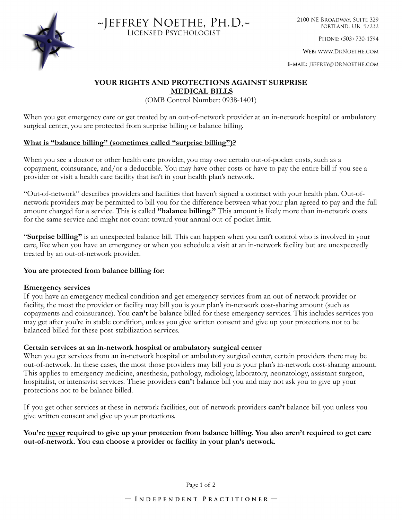



2100 NE BROADWAY, SUITE 329 PORTLAND, OR 97232

PHONE: (503) 730-1594

WEB: WWW.DRNOETHE.COM

E-MAIL: JEFFREY@DRNOETHE.COM

# **YOUR RIGHTS AND PROTECTIONS AGAINST SURPRISE**

 **MEDICAL BILLS**

(OMB Control Number: 0938-1401)

When you get emergency care or get treated by an out-of-network provider at an in-network hospital or ambulatory surgical center, you are protected from surprise billing or balance billing.

## **What is "balance billing" (sometimes called "surprise billing")?**

When you see a doctor or other health care provider, you may owe certain out-of-pocket costs, such as a copayment, coinsurance, and/or a deductible. You may have other costs or have to pay the entire bill if you see a provider or visit a health care facility that isn't in your health plan's network.

"Out-of-network" describes providers and facilities that haven't signed a contract with your health plan. Out-ofnetwork providers may be permitted to bill you for the difference between what your plan agreed to pay and the full amount charged for a service. This is called **"balance billing."** This amount is likely more than in-network costs for the same service and might not count toward your annual out-of-pocket limit.

"**Surprise billing"** is an unexpected balance bill. This can happen when you can't control who is involved in your care, like when you have an emergency or when you schedule a visit at an in-network facility but are unexpectedly treated by an out-of-network provider.

#### **You are protected from balance billing for:**

#### **Emergency services**

If you have an emergency medical condition and get emergency services from an out-of-network provider or facility, the most the provider or facility may bill you is your plan's in-network cost-sharing amount (such as copayments and coinsurance). You **can't** be balance billed for these emergency services. This includes services you may get after you're in stable condition, unless you give written consent and give up your protections not to be balanced billed for these post-stabilization services.

#### **Certain services at an in-network hospital or ambulatory surgical center**

When you get services from an in-network hospital or ambulatory surgical center, certain providers there may be out-of-network. In these cases, the most those providers may bill you is your plan's in-network cost-sharing amount. This applies to emergency medicine, anesthesia, pathology, radiology, laboratory, neonatology, assistant surgeon, hospitalist, or intensivist services. These providers **can't** balance bill you and may not ask you to give up your protections not to be balance billed.

If you get other services at these in-network facilities, out-of-network providers **can't** balance bill you unless you give written consent and give up your protections.

### **You're never required to give up your protection from balance billing. You also aren't required to get care out-of-network. You can choose a provider or facility in your plan's network.**

Page 1 of 2